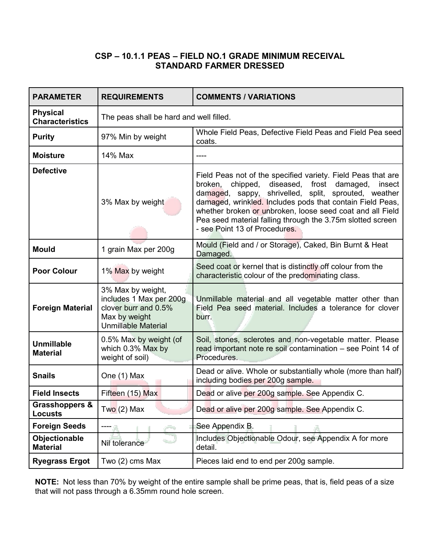### **CSP – 10.1.1 PEAS – FIELD NO.1 GRADE MINIMUM RECEIVAL STANDARD FARMER DRESSED**

| <b>PARAMETER</b>                            | <b>REQUIREMENTS</b>                                                                                                 | <b>COMMENTS / VARIATIONS</b>                                                                                                                                                                                                                                                                                                                                                                            |
|---------------------------------------------|---------------------------------------------------------------------------------------------------------------------|---------------------------------------------------------------------------------------------------------------------------------------------------------------------------------------------------------------------------------------------------------------------------------------------------------------------------------------------------------------------------------------------------------|
| <b>Physical</b><br><b>Characteristics</b>   | The peas shall be hard and well filled.                                                                             |                                                                                                                                                                                                                                                                                                                                                                                                         |
| <b>Purity</b>                               | 97% Min by weight                                                                                                   | Whole Field Peas, Defective Field Peas and Field Pea seed<br>coats.                                                                                                                                                                                                                                                                                                                                     |
| <b>Moisture</b>                             | 14% Max                                                                                                             | ----                                                                                                                                                                                                                                                                                                                                                                                                    |
| <b>Defective</b>                            | 3% Max by weight                                                                                                    | Field Peas not of the specified variety. Field Peas that are<br>chipped, diseased, frost damaged,<br>broken,<br>insect<br>damaged, sappy, shrivelled, split, sprouted, weather<br>damaged, wrinkled. Includes pods that contain Field Peas,<br>whether broken or unbroken, loose seed coat and all Field<br>Pea seed material falling through the 3.75m slotted screen<br>- see Point 13 of Procedures. |
| <b>Mould</b>                                | 1 grain Max per 200g                                                                                                | Mould (Field and / or Storage), Caked, Bin Burnt & Heat<br>Damaged.                                                                                                                                                                                                                                                                                                                                     |
| <b>Poor Colour</b>                          | 1% Max by weight                                                                                                    | Seed coat or kernel that is distinctly off colour from the<br>characteristic colour of the predominating class.                                                                                                                                                                                                                                                                                         |
| <b>Foreign Material</b>                     | 3% Max by weight,<br>includes 1 Max per 200g<br>clover burr and 0.5%<br>Max by weight<br><b>Unmillable Material</b> | Unmillable material and all vegetable matter other than<br>Field Pea seed material. Includes a tolerance for clover<br>burr.                                                                                                                                                                                                                                                                            |
| <b>Unmillable</b><br><b>Material</b>        | 0.5% Max by weight (of<br>which 0.3% Max by<br>weight of soil)                                                      | Soil, stones, sclerotes and non-vegetable matter. Please<br>read important note re soil contamination – see Point 14 of<br>Procedures.                                                                                                                                                                                                                                                                  |
| <b>Snails</b>                               | One (1) Max                                                                                                         | Dead or alive. Whole or substantially whole (more than half)<br>including bodies per 200g sample.                                                                                                                                                                                                                                                                                                       |
| <b>Field Insects</b>                        | Fifteen (15) Max                                                                                                    | Dead or alive per 200g sample. See Appendix C.                                                                                                                                                                                                                                                                                                                                                          |
| <b>Grasshoppers &amp;</b><br><b>Locusts</b> | $Two(2)$ Max                                                                                                        | Dead or alive per 200g sample. See Appendix C.                                                                                                                                                                                                                                                                                                                                                          |
| <b>Foreign Seeds</b>                        |                                                                                                                     | See Appendix B.                                                                                                                                                                                                                                                                                                                                                                                         |
| Objectionable<br><b>Material</b>            | Nil tolerance                                                                                                       | Includes Objectionable Odour, see Appendix A for more<br>detail.                                                                                                                                                                                                                                                                                                                                        |
| <b>Ryegrass Ergot</b>                       | Two (2) cms Max                                                                                                     | Pieces laid end to end per 200g sample.                                                                                                                                                                                                                                                                                                                                                                 |

**NOTE:** Not less than 70% by weight of the entire sample shall be prime peas, that is, field peas of a size that will not pass through a 6.35mm round hole screen.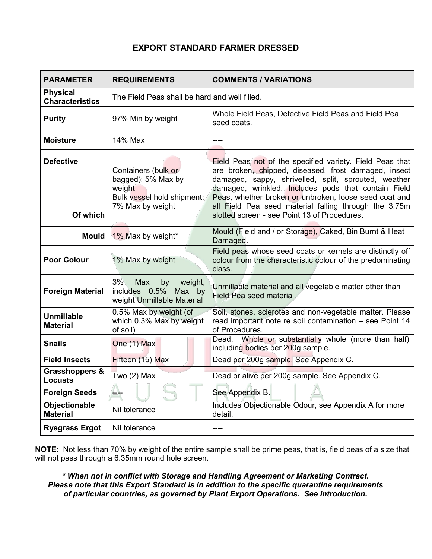# **EXPORT STANDARD FARMER DRESSED**

| <b>PARAMETER</b>                          | <b>REQUIREMENTS</b>                                                                                   | <b>COMMENTS / VARIATIONS</b>                                                                                                                                                                                                                                                                                                                                                                      |
|-------------------------------------------|-------------------------------------------------------------------------------------------------------|---------------------------------------------------------------------------------------------------------------------------------------------------------------------------------------------------------------------------------------------------------------------------------------------------------------------------------------------------------------------------------------------------|
| <b>Physical</b><br><b>Characteristics</b> | The Field Peas shall be hard and well filled.                                                         |                                                                                                                                                                                                                                                                                                                                                                                                   |
| <b>Purity</b>                             | 97% Min by weight                                                                                     | Whole Field Peas, Defective Field Peas and Field Pea<br>seed coats.                                                                                                                                                                                                                                                                                                                               |
| <b>Moisture</b>                           | 14% Max                                                                                               | ----                                                                                                                                                                                                                                                                                                                                                                                              |
| <b>Defective</b><br>Of which              | Containers (bulk or<br>bagged): 5% Max by<br>weight<br>Bulk vessel hold shipment:<br>7% Max by weight | Field Peas not of the specified variety. Field Peas that<br>are broken, chipped, diseased, frost damaged, insect<br>damaged, sappy, shrivelled, split, sprouted, weather<br>damaged, wrinkled. Includes pods that contain Field<br>Peas, whether broken or unbroken, loose seed coat and<br>all Field Pea seed material falling through the 3.75m<br>slotted screen - see Point 13 of Procedures. |
| <b>Mould</b>                              | 1% Max by weight*                                                                                     | Mould (Field and / or Storage), Caked, Bin Burnt & Heat<br>Damaged.                                                                                                                                                                                                                                                                                                                               |
| <b>Poor Colour</b>                        | 1% Max by weight                                                                                      | Field peas whose seed coats or kernels are distinctly off<br>colour from the characteristic colour of the predominating<br>class.                                                                                                                                                                                                                                                                 |
| <b>Foreign Material</b>                   | 3%<br>Max<br>weight,<br>by<br>includes 0.5%<br>Max by<br>weight Unmillable Material                   | Unmillable material and all vegetable matter other than<br>Field Pea seed material.                                                                                                                                                                                                                                                                                                               |
| <b>Unmillable</b><br><b>Material</b>      | 0.5% Max by weight (of<br>which 0.3% Max by weight<br>of soil)                                        | Soil, stones, sclerotes and non-vegetable matter. Please<br>read important note re soil contamination - see Point 14<br>of Procedures.                                                                                                                                                                                                                                                            |
| <b>Snails</b>                             | One (1) Max                                                                                           | Whole or substantially whole (more than half)<br>Dead.<br>including bodies per 200g sample.                                                                                                                                                                                                                                                                                                       |
| <b>Field Insects</b>                      | Fifteen (15) Max                                                                                      | Dead per 200g sample. See Appendix C.                                                                                                                                                                                                                                                                                                                                                             |
| Grasshoppers &<br><b>Locusts</b>          | Two $(2)$ Max                                                                                         | Dead or alive per 200g sample. See Appendix C.                                                                                                                                                                                                                                                                                                                                                    |
| <b>Foreign Seeds</b>                      | Д.                                                                                                    | See Appendix B.                                                                                                                                                                                                                                                                                                                                                                                   |
| Objectionable<br><b>Material</b>          | Nil tolerance                                                                                         | Includes Objectionable Odour, see Appendix A for more<br>detail.                                                                                                                                                                                                                                                                                                                                  |
| <b>Ryegrass Ergot</b>                     | Nil tolerance                                                                                         | ----                                                                                                                                                                                                                                                                                                                                                                                              |

**NOTE:** Not less than 70% by weight of the entire sample shall be prime peas, that is, field peas of a size that will not pass through a 6.35mm round hole screen.

*\* When not in conflict with Storage and Handling Agreement or Marketing Contract. Please note that this Export Standard is in addition to the specific quarantine requirements of particular countries, as governed by Plant Export Operations. See Introduction.*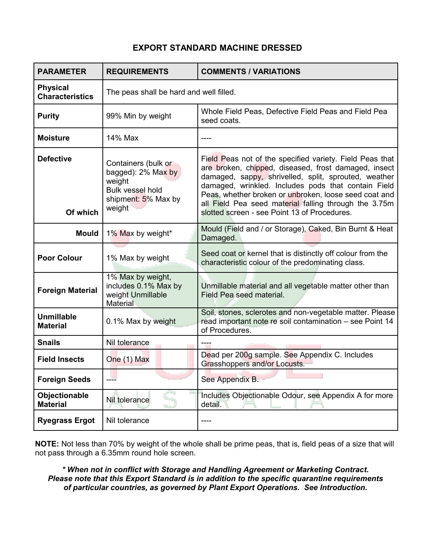### **EXPORT STANDARD MACHINE DRESSED**

| <b>PARAMETER</b>                          | <b>REQUIREMENTS</b>                                                                                             | <b>COMMENTS / VARIATIONS</b>                                                                                                                                                                                                                                                                                                                                                                      |
|-------------------------------------------|-----------------------------------------------------------------------------------------------------------------|---------------------------------------------------------------------------------------------------------------------------------------------------------------------------------------------------------------------------------------------------------------------------------------------------------------------------------------------------------------------------------------------------|
| <b>Physical</b><br><b>Characteristics</b> | The peas shall be hard and well filled.                                                                         |                                                                                                                                                                                                                                                                                                                                                                                                   |
| <b>Purity</b>                             | 99% Min by weight                                                                                               | Whole Field Peas, Defective Field Peas and Field Pea<br>seed coats.                                                                                                                                                                                                                                                                                                                               |
| <b>Moisture</b>                           | 14% Max                                                                                                         |                                                                                                                                                                                                                                                                                                                                                                                                   |
| <b>Defective</b><br>Of which              | Containers (bulk or<br>bagged): 2% Max by<br>weight<br><b>Bulk vessel hold</b><br>shipment: 5% Max by<br>weight | Field Peas not of the specified variety. Field Peas that<br>are broken, chipped, diseased, frost damaged, insect<br>damaged, sappy, shrivelled, split, sprouted, weather<br>damaged, wrinkled. Includes pods that contain Field<br>Peas, whether broken or unbroken, loose seed coat and<br>all Field Pea seed material falling through the 3.75m<br>slotted screen - see Point 13 of Procedures. |
| <b>Mould</b>                              | 1% Max by weight*                                                                                               | Mould (Field and / or Storage), Caked, Bin Burnt & Heat<br>Damaged.                                                                                                                                                                                                                                                                                                                               |
| <b>Poor Colour</b>                        | 1% Max by weight                                                                                                | Seed coat or kernel that is distinctly off colour from the<br>characteristic colour of the predominating class.                                                                                                                                                                                                                                                                                   |
| <b>Foreign Material</b>                   | 1% Max by weight,<br>includes 0.1% Max by<br>weight Unmillable<br>Material                                      | Unmillable material and all vegetable matter other than<br>Field Pea seed material.                                                                                                                                                                                                                                                                                                               |
| <b>Unmillable</b><br><b>Material</b>      | 0.1% Max by weight                                                                                              | Soil, stones, sclerotes and non-vegetable matter. Please<br>read important note re soil contamination - see Point 14<br>of Procedures.                                                                                                                                                                                                                                                            |
| <b>Snails</b>                             | Nil tolerance                                                                                                   |                                                                                                                                                                                                                                                                                                                                                                                                   |
| <b>Field Insects</b>                      | One (1) Max                                                                                                     | Dead per 200g sample. See Appendix C. Includes<br>Grasshoppers and/or Locusts.                                                                                                                                                                                                                                                                                                                    |
| <b>Foreign Seeds</b>                      |                                                                                                                 | See Appendix B.                                                                                                                                                                                                                                                                                                                                                                                   |
| Objectionable<br><b>Material</b>          | Nil tolerance                                                                                                   | Includes Objectionable Odour, see Appendix A for more<br>detail.                                                                                                                                                                                                                                                                                                                                  |
| <b>Ryegrass Ergot</b>                     | Nil tolerance                                                                                                   |                                                                                                                                                                                                                                                                                                                                                                                                   |

**NOTE:** Not less than 70% by weight of the whole shall be prime peas, that is, field peas of a size that will not pass through a 6.35mm round hole screen.

*\* When not in conflict with Storage and Handling Agreement or Marketing Contract. Please note that this Export Standard is in addition to the specific quarantine requirements of particular countries, as governed by Plant Export Operations. See Introduction.*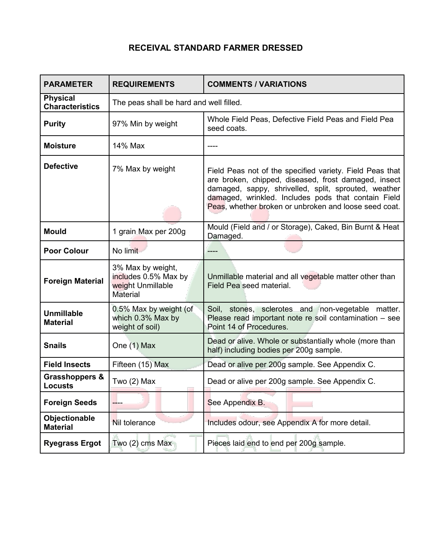# **RECEIVAL STANDARD FARMER DRESSED**

| <b>PARAMETER</b>                            | <b>REQUIREMENTS</b>                                                               | <b>COMMENTS / VARIATIONS</b>                                                                                                                                                                                                                                                             |
|---------------------------------------------|-----------------------------------------------------------------------------------|------------------------------------------------------------------------------------------------------------------------------------------------------------------------------------------------------------------------------------------------------------------------------------------|
| <b>Physical</b><br><b>Characteristics</b>   | The peas shall be hard and well filled.                                           |                                                                                                                                                                                                                                                                                          |
| <b>Purity</b>                               | 97% Min by weight                                                                 | Whole Field Peas, Defective Field Peas and Field Pea<br>seed coats.                                                                                                                                                                                                                      |
| <b>Moisture</b>                             | 14% Max                                                                           | ----                                                                                                                                                                                                                                                                                     |
| <b>Defective</b>                            | 7% Max by weight                                                                  | Field Peas not of the specified variety. Field Peas that<br>are broken, chipped, diseased, frost damaged, insect<br>damaged, sappy, shrivelled, split, sprouted, weather<br>damaged, wrinkled. Includes pods that contain Field<br>Peas, whether broken or unbroken and loose seed coat. |
| <b>Mould</b>                                | 1 grain Max per 200g                                                              | Mould (Field and / or Storage), Caked, Bin Burnt & Heat<br>Damaged.                                                                                                                                                                                                                      |
| <b>Poor Colour</b>                          | No limit                                                                          | ----                                                                                                                                                                                                                                                                                     |
| <b>Foreign Material</b>                     | 3% Max by weight,<br>includes 0.5% Max by<br>weight Unmillable<br><b>Material</b> | Unmillable material and all vegetable matter other than<br>Field Pea seed material.                                                                                                                                                                                                      |
| <b>Unmillable</b><br><b>Material</b>        | 0.5% Max by weight (of<br>which 0.3% Max by<br>weight of soil)                    | Soil, stones, sclerotes and non-vegetable matter.<br>Please read important note re soil contamination - see<br>Point 14 of Procedures.                                                                                                                                                   |
| <b>Snails</b>                               | One (1) Max                                                                       | Dead or alive. Whole or substantially whole (more than<br>half) including bodies per 200g sample.                                                                                                                                                                                        |
| <b>Field Insects</b>                        | Fifteen (15) Max                                                                  | Dead or alive per 200g sample. See Appendix C.                                                                                                                                                                                                                                           |
| <b>Grasshoppers &amp;</b><br><b>Locusts</b> | Two $(2)$ Max<br><b>Contract Contract</b>                                         | Dead or alive per 200g sample. See Appendix C.                                                                                                                                                                                                                                           |
| <b>Foreign Seeds</b>                        |                                                                                   | See Appendix B.                                                                                                                                                                                                                                                                          |
| Objectionable<br><b>Material</b>            | Nil tolerance                                                                     | Includes odour, see Appendix A for more detail.                                                                                                                                                                                                                                          |
| <b>Ryegrass Ergot</b>                       | Two $(2)$ cms Max                                                                 | Pieces laid end to end per 200g sample.                                                                                                                                                                                                                                                  |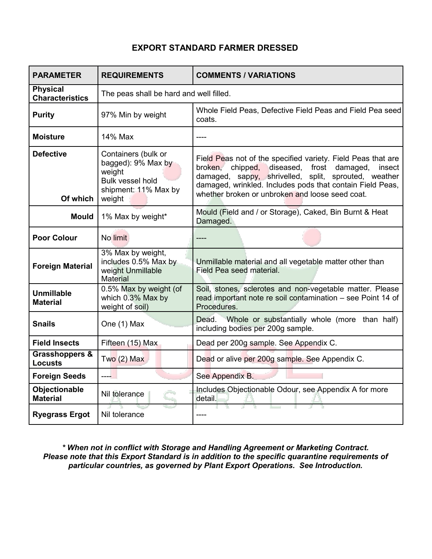# **EXPORT STANDARD FARMER DRESSED**

| <b>PARAMETER</b>                            | <b>REQUIREMENTS</b>                                                                                              | <b>COMMENTS / VARIATIONS</b>                                                                                                                                                                                                                                                                      |
|---------------------------------------------|------------------------------------------------------------------------------------------------------------------|---------------------------------------------------------------------------------------------------------------------------------------------------------------------------------------------------------------------------------------------------------------------------------------------------|
| <b>Physical</b><br><b>Characteristics</b>   | The peas shall be hard and well filled.                                                                          |                                                                                                                                                                                                                                                                                                   |
| <b>Purity</b>                               | 97% Min by weight                                                                                                | Whole Field Peas, Defective Field Peas and Field Pea seed<br>coats.                                                                                                                                                                                                                               |
| <b>Moisture</b>                             | 14% Max                                                                                                          | ----                                                                                                                                                                                                                                                                                              |
| <b>Defective</b><br>Of which                | Containers (bulk or<br>bagged): 9% Max by<br>weight<br><b>Bulk vessel hold</b><br>shipment: 11% Max by<br>weight | Field Peas not of the specified variety. Field Peas that are<br>broken, chipped,<br>diseased, frost<br>damaged,<br>insect<br>damaged, sappy, shrivelled, split, sprouted, weather<br>damaged, wrinkled. Includes pods that contain Field Peas,<br>whether broken or unbroken and loose seed coat. |
| <b>Mould</b>                                | 1% Max by weight*                                                                                                | Mould (Field and / or Storage), Caked, Bin Burnt & Heat<br>Damaged.                                                                                                                                                                                                                               |
| <b>Poor Colour</b>                          | No limit                                                                                                         | ----                                                                                                                                                                                                                                                                                              |
| <b>Foreign Material</b>                     | 3% Max by weight,<br>includes 0.5% Max by<br>weight Unmillable<br><b>Material</b>                                | Unmillable material and all vegetable matter other than<br>Field Pea seed material.                                                                                                                                                                                                               |
| <b>Unmillable</b><br><b>Material</b>        | 0.5% Max by weight (of<br>which 0.3% Max by<br>weight of soil)                                                   | Soil, stones, sclerotes and non-vegetable matter. Please<br>read important note re soil contamination - see Point 14 of<br>Procedures.                                                                                                                                                            |
| <b>Snails</b>                               | One (1) Max                                                                                                      | Whole or substantially whole (more than half)<br>Dead.<br>including bodies per 200g sample.                                                                                                                                                                                                       |
| <b>Field Insects</b>                        | Fifteen (15) Max                                                                                                 | Dead per 200g sample. See Appendix C.                                                                                                                                                                                                                                                             |
| <b>Grasshoppers &amp;</b><br><b>Locusts</b> | $Two(2)$ Max                                                                                                     | Dead or alive per 200g sample. See Appendix C.                                                                                                                                                                                                                                                    |
| <b>Foreign Seeds</b>                        | ----                                                                                                             | See Appendix B.                                                                                                                                                                                                                                                                                   |
| Objectionable<br><b>Material</b>            | Nil tolerance                                                                                                    | Includes Objectionable Odour, see Appendix A for more<br>detail.                                                                                                                                                                                                                                  |
| <b>Ryegrass Ergot</b>                       | Nil tolerance                                                                                                    |                                                                                                                                                                                                                                                                                                   |

*\* When not in conflict with Storage and Handling Agreement or Marketing Contract. Please note that this Export Standard is in addition to the specific quarantine requirements of particular countries, as governed by Plant Export Operations. See Introduction.*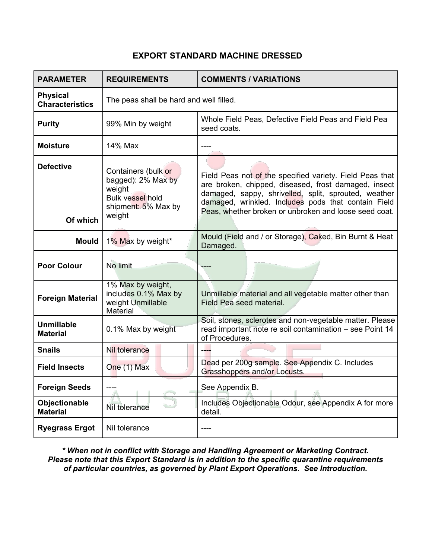# **EXPORT STANDARD MACHINE DRESSED**

| <b>PARAMETER</b>                          | <b>REQUIREMENTS</b>                                                                                             | <b>COMMENTS / VARIATIONS</b>                                                                                                                                                                                                                                                             |
|-------------------------------------------|-----------------------------------------------------------------------------------------------------------------|------------------------------------------------------------------------------------------------------------------------------------------------------------------------------------------------------------------------------------------------------------------------------------------|
| <b>Physical</b><br><b>Characteristics</b> | The peas shall be hard and well filled.                                                                         |                                                                                                                                                                                                                                                                                          |
| <b>Purity</b>                             | 99% Min by weight                                                                                               | Whole Field Peas, Defective Field Peas and Field Pea<br>seed coats.                                                                                                                                                                                                                      |
| <b>Moisture</b>                           | 14% Max                                                                                                         |                                                                                                                                                                                                                                                                                          |
| <b>Defective</b><br>Of which              | Containers (bulk or<br>bagged): 2% Max by<br>weight<br><b>Bulk vessel hold</b><br>shipment: 5% Max by<br>weight | Field Peas not of the specified variety. Field Peas that<br>are broken, chipped, diseased, frost damaged, insect<br>damaged, sappy, shrivelled, split, sprouted, weather<br>damaged, wrinkled. Includes pods that contain Field<br>Peas, whether broken or unbroken and loose seed coat. |
| Mould                                     | 1% Max by weight*                                                                                               | Mould (Field and / or Storage), Caked, Bin Burnt & Heat<br>Damaged.                                                                                                                                                                                                                      |
| <b>Poor Colour</b>                        | No limit                                                                                                        |                                                                                                                                                                                                                                                                                          |
| <b>Foreign Material</b>                   | 1% Max by weight,<br>includes 0.1% Max by<br>weight Unmillable<br>Material                                      | Unmillable material and all vegetable matter other than<br>Field Pea seed material.                                                                                                                                                                                                      |
| <b>Unmillable</b><br><b>Material</b>      | 0.1% Max by weight                                                                                              | Soil, stones, sclerotes and non-vegetable matter. Please<br>read important note re soil contamination - see Point 14<br>of Procedures.                                                                                                                                                   |
| <b>Snails</b>                             | Nil tolerance                                                                                                   |                                                                                                                                                                                                                                                                                          |
| <b>Field Insects</b>                      | One (1) Max                                                                                                     | Dead per 200g sample. See Appendix C. Includes<br>Grasshoppers and/or Locusts.                                                                                                                                                                                                           |
| <b>Foreign Seeds</b>                      |                                                                                                                 | See Appendix B.                                                                                                                                                                                                                                                                          |
| Objectionable<br><b>Material</b>          | Nil tolerance                                                                                                   | Includes Objectionable Odour, see Appendix A for more<br>detail.                                                                                                                                                                                                                         |
| <b>Ryegrass Ergot</b>                     | Nil tolerance                                                                                                   |                                                                                                                                                                                                                                                                                          |

*\* When not in conflict with Storage and Handling Agreement or Marketing Contract. Please note that this Export Standard is in addition to the specific quarantine requirements of particular countries, as governed by Plant Export Operations. See Introduction.*